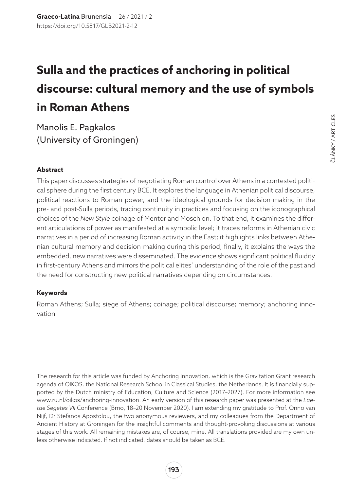# **Sulla and the practices of anchoring in political discourse: cultural memory and the use of symbols in Roman Athens**

Manolis E. Pagkalos (University of Groningen)

#### **Abstract**

This paper discusses strategies of negotiating Roman control over Athens in a contested political sphere during the first century BCE. It explores the language in Athenian political discourse, political reactions to Roman power, and the ideological grounds for decision-making in the pre- and post-Sulla periods, tracing continuity in practices and focusing on the iconographical choices of the *New Style* coinage of Mentor and Moschion. To that end, it examines the different articulations of power as manifested at a symbolic level; it traces reforms in Athenian civic narratives in a period of increasing Roman activity in the East; it highlights links between Athenian cultural memory and decision-making during this period; finally, it explains the ways the embedded, new narratives were disseminated. The evidence shows significant political fluidity in first-century Athens and mirrors the political elites' understanding of the role of the past and the need for constructing new political narratives depending on circumstances.

#### **Keywords**

Roman Athens; Sulla; siege of Athens; coinage; political discourse; memory; anchoring innovation

The research for this article was funded by Anchoring Innovation, which is the Gravitation Grant research agenda of OIKOS, the National Research School in Classical Studies, the Netherlands. It is financially supported by the Dutch ministry of Education, Culture and Science (2017–2027). For more information see [www.ru.nl/oikos/anchoring-innovation.](http://www.ru.nl/oikos/anchoring-innovation) An early version of this research paper was presented at the *Laetae Segetes VII* Conference (Brno, 18–20 November 2020). I am extending my gratitude to Prof. Onno van Nijf, Dr Stefanos Apostolou, the two anonymous reviewers, and my colleagues from the Department of Ancient History at Groningen for the insightful comments and thought-provoking discussions at various stages of this work. All remaining mistakes are, of course, mine. All translations provided are my own unless otherwise indicated. If not indicated, dates should be taken as BCE.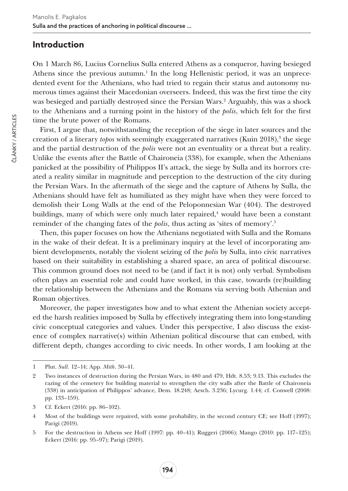#### **Introduction**

On 1 March 86, Lucius Cornelius Sulla entered Athens as a conqueror, having besieged Athens since the previous autumn. $<sup>1</sup>$  In the long Hellenistic period, it was an unprece-</sup> dented event for the Athenians, who had tried to regain their status and autonomy numerous times against their Macedonian overseers. Indeed, this was the first time the city was besieged and partially destroyed since the Persian Wars.<sup>2</sup> Arguably, this was a shock to the Athenians and a turning point in the history of the *polis*, which felt for the first time the brute power of the Romans.

First, I argue that, notwithstanding the reception of the siege in later sources and the creation of a literary *topos* with seemingly exaggerated narratives (Kuin 2018),<sup>3</sup> the siege and the partial destruction of the *polis* were not an eventuality or a threat but a reality. Unlike the events after the Battle of Chaironeia (338), for example, when the Athenians panicked at the possibility of Philippos II's attack, the siege by Sulla and its horrors created a reality similar in magnitude and perception to the destruction of the city during the Persian Wars. In the aftermath of the siege and the capture of Athens by Sulla, the Athenians should have felt as humiliated as they might have when they were forced to demolish their Long Walls at the end of the Peloponnesian War (404). The destroyed buildings, many of which were only much later repaired,<sup>4</sup> would have been a constant reminder of the changing fates of the *polis*, thus acting as 'sites of memory'.5

Then, this paper focuses on how the Athenians negotiated with Sulla and the Romans in the wake of their defeat. It is a preliminary inquiry at the level of incorporating ambient developments, notably the violent seizing of the *polis* by Sulla, into civic narratives based on their suitability in establishing a shared space, an area of political discourse. This common ground does not need to be (and if fact it is not) only verbal. Symbolism often plays an essential role and could have worked, in this case, towards (re)building the relationship between the Athenians and the Romans via serving both Athenian and Roman objectives.

Moreover, the paper investigates how and to what extent the Athenian society accepted the harsh realities imposed by Sulla by effectively integrating them into long-standing civic conceptual categories and values. Under this perspective, I also discuss the existence of complex narrative(s) within Athenian political discourse that can embed, with different depth, changes according to civic needs. In other words, I am looking at the

<sup>1</sup> Plut. *Sull.* 12–14; App. *Mith*. 30–41.

<sup>2</sup> Two instances of destruction during the Persian Wars, in 480 and 479, Hdt. 8.53; 9.13. This excludes the razing of the cemetery for building material to strengthen the city walls after the Battle of Chaironeia (338) in anticipation of Philippos' advance, Dem. 18.248; Aesch. 3.236; Lycurg. 1.44; cf. Conwell (2008: pp. 133–159).

<sup>3</sup> Cf. Eckert (2016: pp. 86–102).

<sup>4</sup> Most of the buildings were repaired, with some probability, in the second century CE; see Hoff (1997); Parigi (2019).

<sup>5</sup> For the destruction in Athens see Hoff (1997: pp. 40–41); Ruggeri (2006); Mango (2010: pp. 117–125); Eckert (2016: pp. 95–97); Parigi (2019).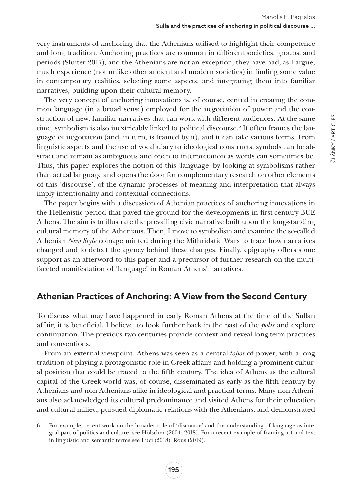very instruments of anchoring that the Athenians utilised to highlight their competence and long tradition. Anchoring practices are common in different societies, groups, and periods (Sluiter 2017), and the Athenians are not an exception; they have had, as I argue, much experience (not unlike other ancient and modern societies) in finding some value in contemporary realities, selecting some aspects, and integrating them into familiar narratives, building upon their cultural memory.

The very concept of anchoring innovations is, of course, central in creating the common language (in a broad sense) employed for the negotiation of power and the construction of new, familiar narratives that can work with different audiences. At the same time, symbolism is also inextricably linked to political discourse.<sup>6</sup> It often frames the language of negotiation (and, in turn, is framed by it), and it can take various forms. From linguistic aspects and the use of vocabulary to ideological constructs, symbols can be abstract and remain as ambiguous and open to interpretation as words can sometimes be. Thus, this paper explores the notion of this 'language' by looking at symbolisms rather than actual language and opens the door for complementary research on other elements of this 'discourse', of the dynamic processes of meaning and interpretation that always imply intentionality and contextual connections.

The paper begins with a discussion of Athenian practices of anchoring innovations in the Hellenistic period that paved the ground for the developments in first-century BCE Athens. The aim is to illustrate the prevailing civic narrative built upon the long-standing cultural memory of the Athenians. Then, I move to symbolism and examine the so-called Athenian *New Style* coinage minted during the Mithridatic Wars to trace how narratives changed and to detect the agency behind these changes. Finally, epigraphy offers some support as an afterword to this paper and a precursor of further research on the multifaceted manifestation of 'language' in Roman Athens' narratives.

# **Athenian Practices of Anchoring: A View from the Second Century**

To discuss what may have happened in early Roman Athens at the time of the Sullan affair, it is beneficial, I believe, to look further back in the past of the *polis* and explore continuation. The previous two centuries provide context and reveal long-term practices and conventions.

From an external viewpoint, Athens was seen as a central *topos* of power, with a long tradition of playing a protagonistic role in Greek affairs and holding a prominent cultural position that could be traced to the fifth century. The idea of Athens as the cultural capital of the Greek world was, of course, disseminated as early as the fifth century by Athenians and non-Athenians alike in ideological and practical terms. Many non-Athenians also acknowledged its cultural predominance and visited Athens for their education and cultural milieu; pursued diplomatic relations with the Athenians; and demonstrated

<sup>6</sup> For example, recent work on the broader role of 'discourse' and the understanding of language as integral part of politics and culture, see Hölscher (2004; 2018). For a recent example of framing art and text in linguistic and semantic terms see Luci (2018); Rous (2019).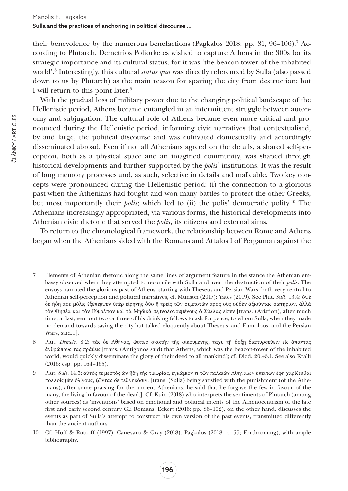their benevolence by the numerous benefactions (Pagkalos 2018: pp. 81, 96–106).<sup>7</sup> According to Plutarch, Demetrios Poliorketes wished to capture Athens in the 300s for its strategic importance and its cultural status, for it was 'the beacon-tower of the inhabited world'.8 Interestingly, this cultural *status quo* was directly referenced by Sulla (also passed down to us by Plutarch) as the main reason for sparing the city from destruction; but I will return to this point later.9

With the gradual loss of military power due to the changing political landscape of the Hellenistic period, Athens became entangled in an intermittent struggle between autonomy and subjugation. The cultural role of Athens became even more critical and pronounced during the Hellenistic period, informing civic narratives that contextualised, by and large, the political discourse and was cultivated domestically and accordingly disseminated abroad. Even if not all Athenians agreed on the details, a shared self-perception, both as a physical space and an imagined community, was shaped through historical developments and further supported by the *polis*' institutions. It was the result of long memory processes and, as such, selective in details and malleable. Two key concepts were pronounced during the Hellenistic period: (i) the connection to a glorious past when the Athenians had fought and won many battles to protect the other Greeks, but most importantly their *polis*; which led to (ii) the polis' democratic polity.10 The Athenians increasingly appropriated, via various forms, the historical developments into Athenian civic rhetoric that served the *polis*, its citizens and external aims.

To return to the chronological framework, the relationship between Rome and Athens began when the Athenians sided with the Romans and Attalos I of Pergamon against the

<sup>7</sup> Elements of Athenian rhetoric along the same lines of argument feature in the stance the Athenian embassy observed when they attempted to reconcile with Sulla and avert the destruction of their *polis*. The envoys narrated the glorious past of Athens, starting with Theseus and Persian Wars, both very central to Athenian self-perception and political narratives, cf. Munson (2017); Yates (2019). See Plut. *Sull*. 13.4: ὀψὲ δὲ ἤδη που μόλις ἐξέπεμψεν ὑπὲρ εἰρήνης δύο ἢ τρεῖς τῶν συμποτῶν πρὸς οὓς οὐδὲν ἀξιοῦντας σωτήριον, ἀλλὰ τὸν Θησέα καὶ τὸν Εὔμολπον καὶ τὰ Μηδικὰ σεμνολογουμένους ὁ Σύλλας εἶπεν [trans. (Aristion), after much time, at last, sent out two or three of his drinking fellows to ask for peace, to whom Sulla, when they made no demand towards saving the city but talked eloquently about Theseus, and Eumolpos, and the Persian Wars, said…].

<sup>8</sup> Plut. *Demetr*. 8.2: τὰς δὲ Ἀθήνας, ὥσπερ σκοπὴν τῆς οἰκουμένης, ταχὺ τῇ δόξῃ διαπυρσεύειν εἰς ἅπαντας ἀνθρώπους τὰς πράξεις [trans. (Antigonos said) that Athens, which was the beacon-tower of the inhabited world, would quickly disseminate the glory of their deed to all mankind]; cf. Diod. 20.45.1. See also Kralli (2016: esp. pp. 164–165).

<sup>9</sup> Plut. *Sull*. 14.5: αὐτός τε μεστὸς ὢν ἤδη τῆς τιμωρίας, ἐγκώμιόν τι τῶν παλαιῶν Ἀθηναίων ὑπειπὼν ἔφη χαρίζεσθαι πολλοῖς μὲν ὀλίγους, ζῶντας δὲ τεθνηκόσιν. [trans. (Sulla) being satisfied with the punishment (of the Athenians), after some praising for the ancient Athenians, he said that he forgave the few in favour of the many, the living in favour of the dead.]. Cf. Kuin (2018) who interprets the sentiments of Plutarch (among other sources) as 'inventions' based on emotional and political intents of the Athenocentrism of the late first and early second century CE Romans. Eckert (2016: pp. 86–102), on the other hand, discusses the events as part of Sulla's attempt to construct his own version of the past events, transmitted differently than the ancient authors.

<sup>10</sup> Cf. Hoff & Rotroff (1997); Canevaro & Gray (2018); Pagkalos (2018: p. 55; Forthcoming), with ample bibliography.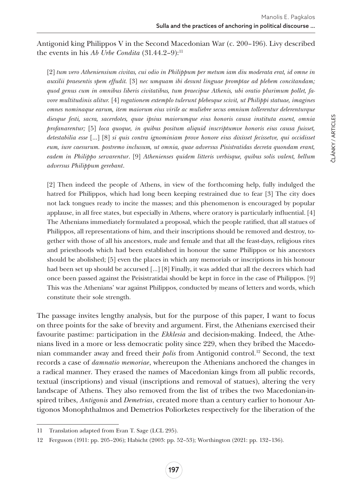Antigonid king Philippos V in the Second Macedonian War (c. 200–196). Livy described the events in his *Ab Urbe Condita* (31.44.2–9):<sup>11</sup>

[2] *tum vero Atheniensium civitas, cui odio in Philippum per metum iam diu moderata erat, id omne in auxilii praesentis spem effudit.* [3] *nec umquam ibi desunt linguae promptae ad plebem concitandam; quod genus cum in omnibus liberis civitatibus, tum praecipue Athenis, ubi oratio plurimum pollet, favore multitudinis alitur.* [4] *rogationem extemplo tulerunt plebesque scivit, ut Philippi statuae, imagines omnes nominaque earum, item maiorum eius virile ac muliebre secus omnium tollerentur delerenturque diesque festi, sacra, sacerdotes, quae ipsius maiorumque eius honoris causa instituta essent, omnia profanarentur;* [5] *loca quoque, in quibus positum aliquid inscriptumve honoris eius causa fuisset, detestabilia esse* […] [8] *si quis contra ignominiam prove honore eius dixisset fecissetve, qui occidisset eum, iure caesurum. postremo inclusum, ut omnia, quae adversus Pisistratidas decreta quondam erant, eadem in Philippo servarentur*. [9] *Athenienses quidem litteris verbisque, quibus solis valent, bellum adversus Philippum gerebant*.

[2] Then indeed the people of Athens, in view of the forthcoming help, fully indulged the hatred for Philippos, which had long been keeping restrained due to fear [3] The city does not lack tongues ready to incite the masses; and this phenomenon is encouraged by popular applause, in all free states, but especially in Athens, where oratory is particularly influential. [4] The Athenians immediately formulated a proposal, which the people ratified, that all statues of Philippos, all representations of him, and their inscriptions should be removed and destroy, together with those of all his ancestors, male and female and that all the feast-days, religious rites and priesthoods which had been established in honour the same Philippos or his ancestors should be abolished; [5] even the places in which any memorials or inscriptions in his honour had been set up should be accursed […] [8] Finally, it was added that all the decrees which had once been passed against the Peisistratidai should be kept in force in the case of Philippos. [9] This was the Athenians' war against Philippos, conducted by means of letters and words, which constitute their sole strength.

The passage invites lengthy analysis, but for the purpose of this paper, I want to focus on three points for the sake of brevity and argument. First, the Athenians exercised their favourite pastime: participation in the *Ekklesia* and decision-making. Indeed, the Athenians lived in a more or less democratic polity since 229, when they bribed the Macedonian commander away and freed their *polis* from Antigonid control.12 Second, the text records a case of *damnatio memoriae*, whereupon the Athenians anchored the changes in a radical manner. They erased the names of Macedonian kings from all public records, textual (inscriptions) and visual (inscriptions and removal of statues), altering the very landscape of Athens. They also removed from the list of tribes the two Macedonian-inspired tribes, *Antigonis* and *Demetrias*, created more than a century earlier to honour Antigonos Monophthalmos and Demetrios Poliorketes respectively for the liberation of the

<sup>11</sup> Translation adapted from Evan T. Sage (LCL 295).

<sup>12</sup> Ferguson (1911: pp. 205–206); Habicht (2003: pp. 52–53); Worthington (2021: pp. 132–136).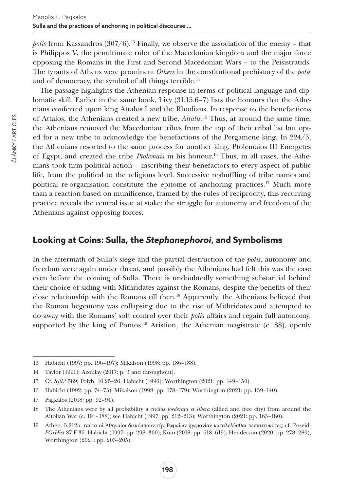*polis* from Kassandros  $(307/6)$ .<sup>13</sup> Finally, we observe the association of the enemy – that is Philippos V, the penultimate ruler of the Macedonian kingdom and the major force opposing the Romans in the First and Second Macedonian Wars – to the Peisistratids. The tyrants of Athens were prominent *Others* in the constitutional prehistory of the *polis* and of democracy, the symbol of all things terrible.14

The passage highlights the Athenian response in terms of political language and diplomatic skill. Earlier in the same book, Livy (31.15.6–7) lists the honours that the Athenians conferred upon king Attalos I and the Rhodians. In response to the benefactions of Attalos, the Athenians created a new tribe, *Attalis*. 15 Thus, at around the same time, the Athenians removed the Macedonian tribes from the top of their tribal list but opted for a new tribe to acknowledge the benefactions of the Pergamene king. In 224/3, the Athenians resorted to the same process for another king, Ptolemaios III Euergetes of Egypt, and created the tribe *Ptolemais* in his honour.16 Thus, in all cases, the Athenians took firm political action – inscribing their benefactors to every aspect of public life, from the political to the religious level. Successive reshuffling of tribe names and political re-organisation constitute the epitome of anchoring practices.17 Much more than a reaction based on munificence, framed by the rules of reciprocity, this recurring practice reveals the central issue at stake: the struggle for autonomy and freedom of the Athenians against opposing forces.

### **Looking at Coins: Sulla, the** *Stephanephoroi***, and Symbolisms**

In the aftermath of Sulla's siege and the partial destruction of the *polis*, autonomy and freedom were again under threat, and possibly the Athenians had felt this was the case even before the coming of Sulla. There is undoubtedly something substantial behind their choice of siding with Mithridates against the Romans, despite the benefits of their close relationship with the Romans till then.18 Apparently, the Athenians believed that the Roman hegemony was collapsing due to the rise of Mithridates and attempted to do away with the Romans' soft control over their *polis* affairs and regain full autonomy, supported by the king of Pontos.<sup>19</sup> Aristion, the Athenian magistrate (c. 88), openly

<sup>13</sup> Habicht (1997: pp. 196–197); Mikalson (1998: pp. 186–188).

<sup>14</sup> Taylor (1991); Azoulay (2017: p. 3 and throughout).

<sup>15</sup> Cf. *Syll*. 3 589; Polyb. 16.25–26. Habicht (1990); Worthington (2021: pp. 149–150).

<sup>16</sup> Habicht (1992: pp. 74–75); Mikalson (1998: pp. 178–179); Worthington (2021: pp. 139–140).

<sup>17</sup> Pagkalos (2018: pp. 92–94).

<sup>18</sup> The Athenians were by all probability a *civitas foederata et libera* (allied and free city) from around the Aitolian War (c. 191–188); see Habicht (1997: pp. 212–213); Worthington (2021: pp. 163–180).

<sup>19</sup> Athen. 5.212a: ταῦτα οἱ Ἀθηναῖοι διεκόμπουν τὴν Ῥωμαίων ἡγεμονίαν καταλελύσθαι πεπιστευκότες; cf. Poseid. *FGrHist* 87 F 36. Habicht (1997: pp. 298–300); Kuin (2018: pp. 618–619); Henderson (2020: pp. 278–280); Worthington (2021: pp. 203–205).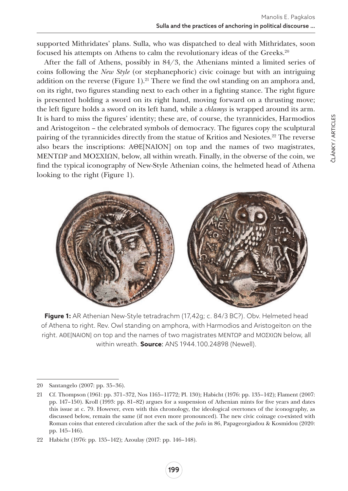supported Mithridates' plans. Sulla, who was dispatched to deal with Mithridates, soon focused his attempts on Athens to calm the revolutionary ideas of the Greeks.20

After the fall of Athens, possibly in 84/3, the Athenians minted a limited series of coins following the *New Style* (or stephanephoric) civic coinage but with an intriguing addition on the reverse (Figure 1).<sup>21</sup> There we find the owl standing on an amphora and, on its right, two figures standing next to each other in a fighting stance. The right figure is presented holding a sword on its right hand, moving forward on a thrusting move; the left figure holds a sword on its left hand, while a *chlamys* is wrapped around its arm. It is hard to miss the figures' identity; these are, of course, the tyrannicides, Harmodios and Aristogeiton – the celebrated symbols of democracy. The figures copy the sculptural pairing of the tyrannicides directly from the statue of Kritios and Nesiotes.<sup>22</sup> The reverse also bears the inscriptions: ΑΘΕ[ΝΑΙΟΝ] on top and the names of two magistrates, MENTΩΡ and MOΣΧΙΩΝ, below, all within wreath. Finally, in the obverse of the coin, we find the typical iconography of New-Style Athenian coins, the helmeted head of Athena looking to the right (Figure 1).



**Figure 1:** AR Athenian New-Style tetradrachm (17,42g; c. 84/3 BC?). Obv. Helmeted head of Athena to right. Rev. Owl standing on amphora, with Harmodios and Aristogeiton on the right. ΑΘΕ[ΝΑΙΟΝ] on top and the names of two magistrates MENTΩΡ and MOΣΧΙΩΝ below, all within wreath. **Source**: ANS 1944.100.24898 (Newell).

<sup>20</sup> Santangelo (2007: pp. 35–36).

<sup>21</sup> Cf. Thompson (1961: pp. 371–372, Nos 1165–11772; Pl. 130); Habicht (1976: pp. 135–142); Flament (2007: pp. 147–150). Kroll (1993: pp. 81–82) argues for a suspension of Athenian mints for five years and dates this issue at c. 79. However, even with this chronology, the ideological overtones of the iconography, as discussed below, remain the same (if not even more pronounced). The new civic coinage co-existed with Roman coins that entered circulation after the sack of the *polis* in 86, Papageorgiadou & Kosmidou (2020: pp. 145–146).

<sup>22</sup> Habicht (1976: pp. 135–142); Azoulay (2017: pp. 146–148).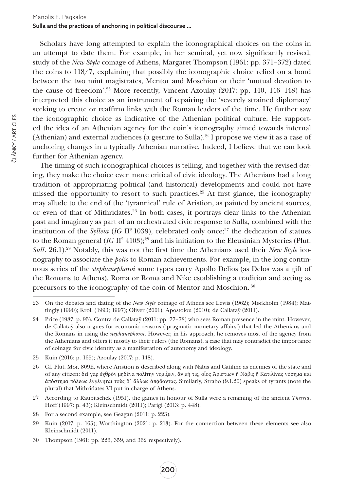Scholars have long attempted to explain the iconographical choices on the coins in an attempt to date them. For example, in her seminal, yet now significantly revised, study of the *New Style* coinage of Athens, Margaret Thompson (1961: pp. 371–372) dated the coins to 118/7, explaining that possibly the iconographic choice relied on a bond between the two mint magistrates, Mentor and Moschion or their 'mutual devotion to the cause of freedom'.23 More recently, Vincent Azoulay (2017: pp. 140, 146–148) has interpreted this choice as an instrument of repairing the 'severely strained diplomacy' seeking to create or reaffirm links with the Roman leaders of the time. He further saw the iconographic choice as indicative of the Athenian political culture. He supported the idea of an Athenian agency for the coin's iconography aimed towards internal (Athenian) and external audiences (a gesture to Sulla).<sup>24</sup> I propose we view it as a case of anchoring changes in a typically Athenian narrative. Indeed, I believe that we can look further for Athenian agency.

The timing of such iconographical choices is telling, and together with the revised dating, they make the choice even more critical of civic ideology. The Athenians had a long tradition of appropriating political (and historical) developments and could not have missed the opportunity to resort to such practices.<sup>25</sup> At first glance, the iconography may allude to the end of the 'tyrannical' rule of Aristion, as painted by ancient sources, or even of that of Mithridates.<sup>26</sup> In both cases, it portrays clear links to the Athenian past and imaginary as part of an orchestrated civic response to Sulla, combined with the institution of the *Sylleia* (*IG* II<sup>2</sup> 1039), celebrated only once;<sup>27</sup> the dedication of statues to the Roman general  $(IG \Pi^2 4103)$ ;<sup>28</sup> and his initiation to the Eleusinian Mysteries (Plut. *Sull.* 26.1).<sup>29</sup> Notably, this was not the first time the Athenians used their *New Style* iconography to associate the *polis* to Roman achievements. For example, in the long continuous series of the *stephanephoroi* some types carry Apollo Delios (as Delos was a gift of the Romans to Athens), Roma or Roma and Nike establishing a tradition and acting as precursors to the iconography of the coin of Mentor and Moschion. <sup>30</sup>

27 According to Raubitschek (1951), the games in honour of Sulla were a renaming of the ancient *Theseia*. Hoff (1997: p. 43); Kleinschmidt (2011); Parigi (2013: p. 448).

28 For a second example, see Geagan (2011: p. 223).

<sup>23</sup> On the debates and dating of the *New Style* coinage of Athens see Lewis (1962); Mørkholm (1984); Mattingly (1990); Kroll (1993; 1997); Oliver (2001); Apostolou (2010); de Callataÿ (2011).

<sup>24</sup> Price (1987: p. 95). Contra de Callataÿ (2011: pp. 77–78) who sees Roman presence in the mint. However, de Callataÿ also argues for economic reasons ('pragmatic monetary affairs') that led the Athenians and the Romans in using the *stephanephoroi*. However, in his approach, he removes most of the agency from the Athenians and offers it mostly to their rulers (the Romans), a case that may contradict the importance of coinage for civic identity as a manifestation of autonomy and ideology.

<sup>25</sup> Kuin (2016: p. 165); Azoulay (2017: p. 148).

<sup>26</sup> Cf. Plut. Mor. 809E, where Aristion is described along with Nabis and Catiline as enemies of the state and of any citizen: δεῖ γὰρ ἐχθρὸν μηδένα πολίτην νομίζειν, ἂν μή τις, οἷος Ἀριστίων ἢ Νάβις ἢ Κατιλίνας νόσημα καὶ ἀπόστημα πόλεως ἐγγένηται τοὺς δ᾽ ἄλλως ἀπᾴδοντας. Similarly, Strabo (9.1.20) speaks of tyrants (note the plural) that Mithridates VI put in charge of Athens.

<sup>29</sup> Kuin (2017: p. 165); Worthington (2021: p. 213). For the connection between these elements see also Kleinschmidt (2011).

<sup>30</sup> Thompson (1961: pp. 226, 359, and 362 respectively).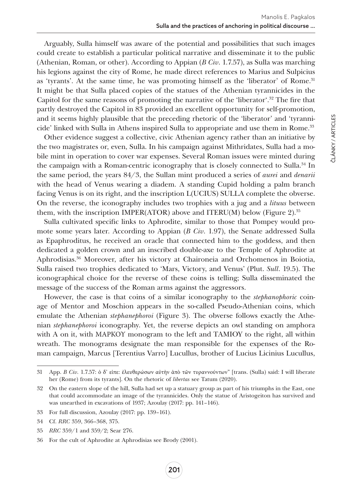Arguably, Sulla himself was aware of the potential and possibilities that such images could create to establish a particular political narrative and disseminate it to the public (Athenian, Roman, or other). According to Appian (*B Civ*. 1.7.57), as Sulla was marching his legions against the city of Rome, he made direct references to Marius and Sulpicius as 'tyrants'. At the same time, he was promoting himself as the 'liberator' of Rome.<sup>31</sup> It might be that Sulla placed copies of the statues of the Athenian tyrannicides in the Capitol for the same reasons of promoting the narrative of the 'liberator'.32 The fire that partly destroyed the Capitol in 83 provided an excellent opportunity for self-promotion, and it seems highly plausible that the preceding rhetoric of the 'liberator' and 'tyrannicide' linked with Sulla in Athens inspired Sulla to appropriate and use them in Rome.<sup>33</sup>

Other evidence suggest a collective, civic Athenian agency rather than an initiative by the two magistrates or, even, Sulla. In his campaign against Mithridates, Sulla had a mobile mint in operation to cover war expenses. Several Roman issues were minted during the campaign with a Roman-centric iconography that is closely connected to Sulla.<sup>34</sup> In the same period, the years 84/3, the Sullan mint produced a series of *aurei* and *denarii* with the head of Venus wearing a diadem. A standing Cupid holding a palm branch facing Venus is on its right, and the inscription L(UCIUS) SULLA complete the obverse. On the reverse, the iconography includes two trophies with a jug and a *lituus* between them, with the inscription IMPER(ATOR) above and ITERU(M) below (Figure 2).<sup>35</sup>

Sulla cultivated specific links to Aphrodite, similar to those that Pompey would promote some years later. According to Appian (*B Civ*. 1.97), the Senate addressed Sulla as Epaphroditus, he received an oracle that connected him to the goddess, and then dedicated a golden crown and an inscribed double-axe to the Temple of Aphrodite at Aphrodisias.36 Moreover, after his victory at Chaironeia and Orchomenos in Boiotia, Sulla raised two trophies dedicated to 'Mars, Victory, and Venus' (Plut. *Sull*. 19.5). The iconographical choice for the reverse of these coins is telling; Sulla disseminated the message of the success of the Roman arms against the aggressors.

However, the case is that coins of a similar iconography to the *stephanophoric* coinage of Mentor and Moschion appears in the so-called Pseudo-Athenian coins, which emulate the Athenian *stephanephoroi* (Figure 3). The obverse follows exactly the Athenian *stephanephoroi* iconography. Yet, the reverse depicts an owl standing on amphora with A on it, with ΜΑΡΚΟΥ monogram to the left and TAMIOY to the right, all within wreath. The monograms designate the man responsible for the expenses of the Roman campaign, Marcus [Terentius Varro] Lucullus, brother of Lucius Licinius Lucullus,

<sup>31</sup> App. *B Civ*. 1.7.57: ὁ δ' εἰπε: ἐλευθερώσων αὐτὴν ἀπὸ τῶν τυραννούντων" [trans. (Sulla) said: I will liberate her (Rome) from its tyrants]. On the rhetoric of *libertas* see Tatum (2020).

<sup>32</sup> On the eastern slope of the hill, Sulla had set up a statuary group as part of his triumphs in the East, one that could accommodate an image of the tyrannicides. Only the statue of Aristogeiton has survived and was unearthed in excavations of 1937; Azoulay (2017: pp. 141–146).

<sup>33</sup> For full discussion, Azoulay (2017: pp. 139–161).

<sup>34</sup> Cf. *RRC* 359, 366–368, 375.

<sup>35</sup> *RRC* 359/1 and 359/2; Sear 276.

<sup>36</sup> For the cult of Aphrodite at Aphrodisias see Brody (2001).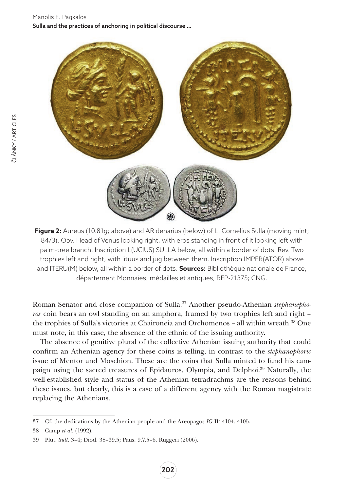

**Figure 2:** Aureus (10.81g; above) and AR denarius (below) of L. Cornelius Sulla (moving mint; 84/3). Obv. Head of Venus looking right, with eros standing in front of it looking left with palm-tree branch. Inscription L(UCIUS) SULLA below, all within a border of dots. Rev. Two trophies left and right, with lituus and jug between them. Inscription IMPER(ATOR) above and ITERU(M) below, all within a border of dots. **Sources:** Bibliothèque nationale de France, département Monnaies, médailles et antiques, REP-21375; CNG.

Roman Senator and close companion of Sulla.37 Another pseudo-Athenian *stephanephoros* coin bears an owl standing on an amphora, framed by two trophies left and right – the trophies of Sulla's victories at Chaironeia and Orchomenos – all within wreath.38 One must note, in this case, the absence of the ethnic of the issuing authority.

The absence of genitive plural of the collective Athenian issuing authority that could confirm an Athenian agency for these coins is telling, in contrast to the *stephanophoric* issue of Mentor and Moschion. These are the coins that Sulla minted to fund his campaign using the sacred treasures of Epidauros, Olympia, and Delphoi.39 Naturally, the well-established style and status of the Athenian tetradrachms are the reasons behind these issues, but clearly, this is a case of a different agency with the Roman magistrate replacing the Athenians.

<sup>37</sup> Cf. the dedications by the Athenian people and the Areopagos *IG* II2 4104, 4105.

<sup>38</sup> Camp *et al.* (1992).

<sup>39</sup> Plut. *Sull*. 3–4; Diod. 38–39.5; Paus. 9.7.5–6. Ruggeri (2006).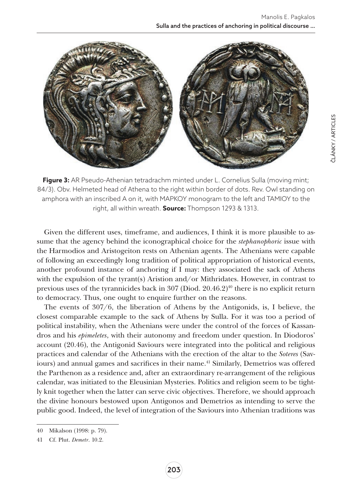

**Figure 3:** AR Pseudo-Athenian tetradrachm minted under L. Cornelius Sulla (moving mint; 84/3). Obv. Helmeted head of Athena to the right within border of dots. Rev. Owl standing on amphora with an inscribed A on it, with MAPKOY monogram to the left and TAMIOY to the right, all within wreath. **Source:** Thompson 1293 & 1313.

Given the different uses, timeframe, and audiences, I think it is more plausible to assume that the agency behind the iconographical choice for the *stephanophoric* issue with the Harmodios and Aristogeiton rests on Athenian agents. The Athenians were capable of following an exceedingly long tradition of political appropriation of historical events, another profound instance of anchoring if I may: they associated the sack of Athens with the expulsion of the tyrant(s) Aristion and/or Mithridates. However, in contrast to previous uses of the tyrannicides back in 307 (Diod. 20.46.2)<sup>40</sup> there is no explicit return to democracy. Thus, one ought to enquire further on the reasons.

The events of 307/6, the liberation of Athens by the Antigonids, is, I believe, the closest comparable example to the sack of Athens by Sulla. For it was too a period of political instability, when the Athenians were under the control of the forces of Kassandros and his *epimeletes*, with their autonomy and freedom under question. In Diodoros' account (20.46), the Antigonid Saviours were integrated into the political and religious practices and calendar of the Athenians with the erection of the altar to the *Soteres* (Saviours) and annual games and sacrifices in their name.<sup>41</sup> Similarly, Demetrios was offered the Parthenon as a residence and, after an extraordinary re-arrangement of the religious calendar, was initiated to the Eleusinian Mysteries. Politics and religion seem to be tightly knit together when the latter can serve civic objectives. Therefore, we should approach the divine honours bestowed upon Antigonos and Demetrios as intending to serve the public good. Indeed, the level of integration of the Saviours into Athenian traditions was

<sup>40</sup> Mikalson (1998: p. 79).

<sup>41</sup> Cf. Plut. *Demetr*. 10.2.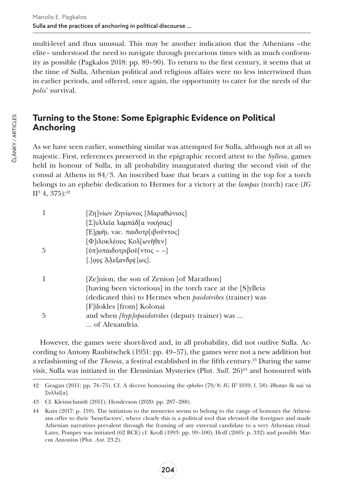multi-level and thus unusual. This may be another indication that the Athenians –the elite– understood the need to navigate through precarious times with as much conformity as possible (Pagkalos 2018: pp. 89–90). To return to the first century, it seems that at the time of Sulla, Athenian political and religious affairs were no less intertwined than in earlier periods, and offered, once again, the opportunity to cater for the needs of the *polis*' survival.

# **Turning to the Stone: Some Epigraphic Evidence on Political Anchoring**

As we have seen earlier, something similar was attempted for Sulla, although not at all so majestic. First, references preserved in the epigraphic record attest to the *Sylleia*, games held in honour of Sulla, in all probability inaugurated during the second visit of the consul at Athens in 84/3. An inscribed base that bears a cutting in the top for a torch belongs to an ephebic dedication to Hermes for a victory at the *lampas* (torch) race (*IG*   $\rm{H}^{3}$  4, 375): $^{42}$ 

| 1  | [Ζη]νίων Ζηνίωνος [Μαραθώνιος]                                   |
|----|------------------------------------------------------------------|
|    | [Σ]υλλεῖα λαμπάδ[α νικήσας]                                      |
|    | [Ε]ρμῆι, νας. παιδοτρ[ιβοῦντος]                                  |
|    | [Φ]ιλοκλέους Κολ[ωνῆθεν]                                         |
| .5 | [ύπ] οπαιδοτριβοῦ[ντος --]                                       |
|    | [.] ους Άλεξανδρέ [ως].                                          |
| 1  | [Ze]nion, the son of Zenion [of Marathon]                        |
|    | [having been victorious] in the torch race at the [S]ylleia      |
|    | (dedicated this) to Hermes when <i>paidotribes</i> (trainer) was |
|    | [F]ilokles [from] Kolonai                                        |
| .5 | and when [hyp]opaidotribes (deputy trainer) was                  |
|    | of Alexandria.                                                   |

However, the games were short-lived and, in all probability, did not outlive Sulla. According to Antony Raubitschek (1951: pp. 49–57), the games were not a new addition but a refashioning of the *Theseia*, a festival established in the fifth century.43 During the same visit, Sulla was initiated in the Eleusinian Mysteries (Plut. *Sull.* 26)<sup>44</sup> and honoured with

<sup>42</sup> Geagan (2011: pp. 74–75). Cf. A decree honouring the *ephebes* (79/8; *IG* II2 1039, l. 58): ἔθυσαν δὲ καὶ τὰ Συλλεῖ[α].

<sup>43</sup> Cf. Kleinschmidt (2011); Henderson (2020: pp. 287–288).

<sup>44</sup> Kuin (2017: p. 159). The initiation to the mysteries seems to belong to the range of honours the Athenians offer to their 'benefactors', where clearly this is a political tool that elevated the foreigner and made Athenian narratives prevalent through the framing of any external candidate to a very Athenian ritual. Later, Pompey was initiated (62 BCE) cf. Kroll (1993: pp. 99–100); Hoff (2005: p. 332) and possibly Marcus Antonius (Plut. *Ant*. 23.2).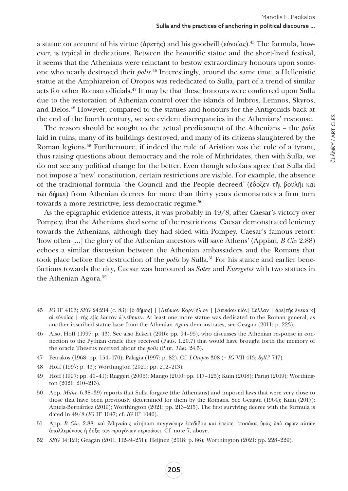a statue on account of his virtue (ἀρετῆς) and his goodwill (εὐνοίας).45 The formula, however, is typical in dedications. Between the honorific statue and the short-lived festival, it seems that the Athenians were reluctant to bestow extraordinary honours upon someone who nearly destroyed their *polis*. 46 Interestingly, around the same time, a Hellenistic statue at the Amphiareion of Oropos was rededicated to Sulla, part of a trend of similar acts for other Roman officials.47 It may be that these honours were conferred upon Sulla due to the restoration of Athenian control over the islands of Imbros, Lemnos, Skyros, and Delos.48 However, compared to the statues and honours for the Antigonids back at the end of the fourth century, we see evident discrepancies in the Athenians' response.

The reason should be sought to the actual predicament of the Athenians – the *polis* laid in ruins, many of its buildings destroyed, and many of its citizens slaughtered by the Roman legions.49 Furthermore, if indeed the rule of Aristion was the rule of a tyrant, thus raising questions about democracy and the role of Mithridates, then with Sulla, we do not see any political change for the better. Even though scholars agree that Sulla did not impose a 'new' constitution, certain restrictions are visible. For example, the absence of the traditional formula 'the Council and the People decreed' (ἔδοξεν τῆι βουλῆι καὶ τῶι δήμωι) from Athenian decrees for more than thirty years demonstrates a firm turn towards a more restrictive, less democratic regime.<sup>50</sup>

As the epigraphic evidence attests, it was probably in 49/8, after Caesar's victory over Pompey, that the Athenians shed some of the restrictions. Caesar demonstrated leniency towards the Athenians, although they had sided with Pompey. Caesar's famous retort: 'how often […] the glory of the Athenian ancestors will save Athens' (Appian, *B Civ* 2.88) echoes a similar discussion between the Athenian ambassadors and the Romans that took place before the destruction of the *polis* by Sulla.51 For his stance and earlier benefactions towards the city, Caesar was honoured as *Soter* and *Euergetes* with two statues in the Athenian Agora.<sup>52</sup>

205

<sup>45</sup> *IG* II2 4103; *SEG* 24:214 (c. 83): [ὁ δῆμος] | [Λεύκιον Κορν]ήλιον | [Λευκίου υἱὸν] Σύλλαν | ἀρε[τῆς ἕνεκα κ] αὶ εὐνοίας | τῆς ε[ἰς ἑαυτὸν ἀ]νέθηκεν. At least one more statue was dedicated to the Roman general, as another inscribed statue base from the Athenian *Agora* demonstrates, see Geagan (2011: p. 223).

<sup>46</sup> Also, Hoff (1997: p. 43). See also Eckert (2016: pp. 94–95), who discusses the Athenian response in connection to the Pythian oracle they received (Paus. 1.20.7) that would have brought forth the memory of the oracle Theseus received about the *polis* (Plut. *Thes*. 24.5).

<sup>47</sup> Petrakos (1968: pp. 154–170); Palagia (1997: p. 82). Cf. *I.Oropos* 308 (= *IG* VII 413; *Syll*. 3 747).

<sup>48</sup> Hoff (1997: p. 43); Worthington (2021: pp. 212–213).

<sup>49</sup> Hoff (1997: pp. 40–41); Ruggeri (2006); Mango (2010: pp. 117–125); Kuin (2018); Parigi (2019); Worthington (2021: 210–213).

<sup>50</sup> App. *Mithr.* 6.38–39) reports that Sulla forgave (the Athenians) and imposed laws that were very close to those that have been previously determined for them by the Romans. See Geagan (1964); Kuin (2017); Antela-Bernárdez (2019); Worthington (2021: pp. 213–215). The first surviving decree with the formula is dated in 49/8 (*IG* II2 1047; cf. *IG* II2 1046).

<sup>51</sup> App. *B Civ*. 2.88: καὶ Ἀθηναίοις αἰτήσασι συγγνώμην ἐπεδίδου καὶ ἐπεῖπε: 'ποσάκις ὑμᾶς ὑπὸ σφῶν αὐτῶν ἀπολλυμένους ἡ δόξα τῶν προγόνων περισώσει. Cf. note 7, above.

<sup>52</sup> *SEG* 14:121; Geagan (2011, H249–251); Heijnen (2018: p. 86); Worthington (2021: pp. 228–229).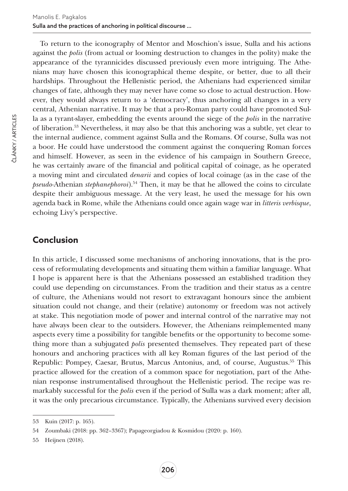To return to the iconography of Mentor and Moschion's issue, Sulla and his actions against the *polis* (from actual or looming destruction to changes in the polity) make the appearance of the tyrannicides discussed previously even more intriguing. The Athenians may have chosen this iconographical theme despite, or better, due to all their hardships. Throughout the Hellenistic period, the Athenians had experienced similar changes of fate, although they may never have come so close to actual destruction. However, they would always return to a 'democracy', thus anchoring all changes in a very central, Athenian narrative. It may be that a pro-Roman party could have promoted Sulla as a tyrant-slayer, embedding the events around the siege of the *polis* in the narrative of liberation.53 Nevertheless, it may also be that this anchoring was a subtle, yet clear to the internal audience, comment against Sulla and the Romans. Of course, Sulla was not a boor. He could have understood the comment against the conquering Roman forces and himself. However, as seen in the evidence of his campaign in Southern Greece, he was certainly aware of the financial and political capital of coinage, as he operated a moving mint and circulated *denarii* and copies of local coinage (as in the case of the *pseudo-*Athenian *stephanephoroi*).54 Then, it may be that he allowed the coins to circulate despite their ambiguous message. At the very least, he used the message for his own agenda back in Rome, while the Athenians could once again wage war in *litteris verbisque*, echoing Livy's perspective.

#### **Conclusion**

In this article, I discussed some mechanisms of anchoring innovations, that is the process of reformulating developments and situating them within a familiar language. What I hope is apparent here is that the Athenians possessed an established tradition they could use depending on circumstances. From the tradition and their status as a centre of culture, the Athenians would not resort to extravagant honours since the ambient situation could not change, and their (relative) autonomy or freedom was not actively at stake. This negotiation mode of power and internal control of the narrative may not have always been clear to the outsiders. However, the Athenians reimplemented many aspects every time a possibility for tangible benefits or the opportunity to become something more than a subjugated *polis* presented themselves. They repeated part of these honours and anchoring practices with all key Roman figures of the last period of the Republic: Pompey, Caesar, Brutus, Marcus Antonius, and, of course, Augustus.55 This practice allowed for the creation of a common space for negotiation, part of the Athenian response instrumentalised throughout the Hellenistic period. The recipe was remarkably successful for the *polis* even if the period of Sulla was a dark moment; after all, it was the only precarious circumstance. Typically, the Athenians survived every decision

<sup>53</sup> Kuin (2017: p. 165).

<sup>54</sup> Zoumbaki (2018: pp. 362–3367); Papageorgiadou & Kosmidou (2020: p. 160).

<sup>55</sup> Heijnen (2018).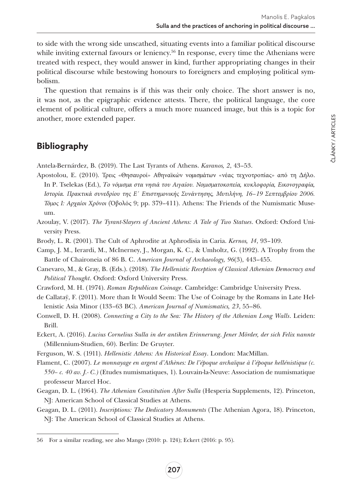to side with the wrong side unscathed, situating events into a familiar political discourse while inviting external favours or leniency.<sup>56</sup> In response, every time the Athenians were treated with respect, they would answer in kind, further appropriating changes in their political discourse while bestowing honours to foreigners and employing political symbolism.

The question that remains is if this was their only choice. The short answer is no, it was not, as the epigraphic evidence attests. There, the political language, the core element of political culture, offers a much more nuanced image, but this is a topic for another, more extended paper.

# **Bibliography**

Antela-Bernárdez, B. (2019). The Last Tyrants of Athens. *Karanos, 2*, 43–53.

- Apostolou, E. (2010). Τρεις «Θησαυροί» Αθηναϊκών νομισμάτων «νέας τεχνοτροπίας» από τη Δήλο. In P. Tselekas (Ed.), Το νόμισμα στα νησιά του Αιγαίου. Νομισματοκοπεία, κυκλοφορία, Εικονογραφία, *Ιστορία. Πρακτικά συνεδρίου της Ε΄ Επιστημονικής Συνάντησης, Μυτιλήνη, 16–19 Σεπτεμβρίου 2006. Τόμος Ι: Αρχαίοι Χρόνοι* (Ὀβολός 9; pp. 379–411). Athens: The Friends of the Numismatic Museum.
- Azoulay, V. (2017). *The Tyrant-Slayers of Ancient Athens: A Tale of Two Statues*. Oxford: Oxford University Press.
- Brody, L. R. (2001). The Cult of Aphrodite at Aphrodisia in Caria. *Kernos, 14*, 93–109.
- Camp, J. M., Ierardi, M., McInerney, J., Morgan, K. C., & Umholtz, G. (1992). A Trophy from the Battle of Chaironeia of 86 B. C. *American Journal of Archaeology, 96*(3), 443–455.
- Canevaro, M., & Gray, B. (Eds.). (2018). *The Hellenistic Reception of Classical Athenian Democracy and Political Thought*. Oxford: Oxford University Press.
- Crawford, M. H. (1974). *Roman Republican Coinage*. Cambridge: Cambridge University Press.
- de Callataÿ, F. (2011). More than It Would Seem: The Use of Coinage by the Romans in Late Hellenistic Asia Minor (133–63 BC). *American Journal of Numismatics, 23*, 55–86.
- Conwell, D. H. (2008). *Connecting a City to the Sea: The History of the Athenian Long Walls*. Leiden: Brill.
- Eckert, A. (2016). *Lucius Cornelius Sulla in der antiken Erinnerung*. *Jener Mörder, der sich Felix nannte* (Millennium-Studien, 60). Berlin: De Gruyter.
- Ferguson, W. S. (1911). *Hellenistic Athens: An Historical Essay*. London: MacMillan.
- Flament, C. (2007). *Le monnayage en argent d'Athènes: De l'époque archaïque à l'époque hellénistique (c. 550– c. 40 av. J.- C.)* (Etudes numismatiques, 1). Louvain-la-Neuve: Association de numismatique professeur Marcel Hoc.
- Geagan, D. L. (1964). *The Athenian Constitution After Sulla* (Hesperia Supplements, 12). Princeton, NJ: American School of Classical Studies at Athens.
- Geagan, D. L. (2011). *Inscriptions: The Dedicatory Monuments* (The Athenian Agora, 18). Princeton, NJ: The American School of Classical Studies at Athens.

<sup>56</sup> For a similar reading, see also Mango (2010: p. 124); Eckert (2016: p. 95).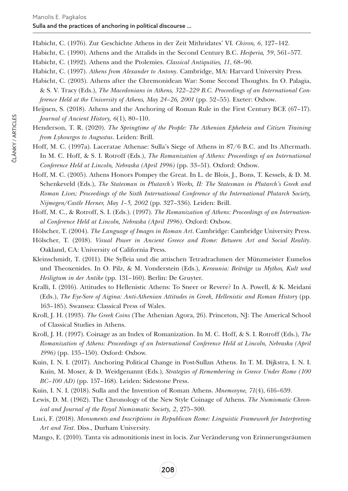Habicht, C. (1976). Zur Geschichte Athens in der Zeit Mithridates' VI. *Chiron, 6*, 127–142.

- Habicht, C. (1990). Athens and the Attalids in the Second Century B.C. *Hesperia, 59*, 561–577.
- Habicht, C. (1992). Athens and the Ptolemies. *Classical Antiquities, 11*, 68–90.
- Habicht, C. (1997). *Athens from Alexander to Antony*. Cambridge, MA: Harvard University Press.
- Habicht, C. (2003). Athens after the Chremonidean War: Some Second Thoughts. In O. Palagia, & S. V. Tracy (Eds.), *The Macedonians in Athens, 322–229 B.C. Proceedings of an International Conference Held at the University of Athens, May 24–26, 2001* (pp. 52–55). Exeter: Oxbow.
- Heijnen, S. (2018). Athens and the Anchoring of Roman Rule in the First Century BCE (67–17). *Journal of Ancient History, 6*(1), 80–110.
- Henderson, T. R. (2020). *The Springtime of the People: The Athenian Ephebeia and Citizen Training from Lykourgos to Augustus*. Leiden: Brill.
- Hoff, M. C. (1997a). Laceratae Athenae: Sulla's Siege of Athens in 87/6 B.C. and Its Aftermath. In M. C. Hoff, & S. I. Rotroff (Eds.), *The Romanization of Athens: Proceedings of an International Conference Held at Lincoln, Nebraska (April 1996)* (pp. 33–51). Oxford: Oxbow.
- Hoff, M. C. (2005). Athens Honors Pompey the Great. In L. de Blois, J., Bons, T. Kessels, & D. M. Schenkeveld (Eds.), *The Statesman in Plutarch's Works, II: The Statesman in Plutarch's Greek and Roman Lives; Proceedings of the Sixth International Conference of the International Plutarch Society, Nijmegen/Castle Herner, May 1–5, 2002* (pp. 327–336). Leiden: Brill.
- Hoff, M. C., & Rotroff, S. I. (Eds.). (1997). *The Romanization of Athens: Proceedings of an International Conference Held at Lincoln, Nebraska (April 1996)*. Oxford: Oxbow.
- Hölscher, T. (2004). *The Language of Images in Roman Art*. Cambridge: Cambridge University Press.
- Hölscher, T. (2018). *Visual Power in Ancient Greece and Rome: Between Art and Social Reality*. Oakland, CA: University of California Press.
- Kleinschmidt, T. (2011). Die Sylleia und die attischen Tetradrachmen der Münzmeister Eumelos und Theoxenides. In O. Pilz, & M. Vonderstein (Eds.), *Keraunia: Beiträge zu Mythos, Kult und Heiligtum in der Antike* (pp. 131–160). Berlin: De Gruyter.
- Kralli, I. (2016). Attitudes to Hellenistic Athens: To Sneer or Revere? In A. Powell, & K. Meidani (Eds.), *The Eye-Sore of Aigina: Anti-Athenian Attitudes in Greek, Hellenistic and Roman History* (pp. 163–185). Swansea: Classical Press of Wales.
- Kroll, J. H. (1993). *The Greek Coins* (The Athenian Agora, 26). Princeton, NJ: The Americal School of Classical Studies in Athens.
- Kroll, J. H. (1997). Coinage as an Index of Romanization. In M. C. Hoff, & S. I. Rotroff (Eds.), *The Romanization of Athens: Proceedings of an International Conference Held at Lincoln, Nebraska (April 1996)* (pp. 135–150). Oxford: Oxbow.
- Kuin, I. N. I. (2017). Anchoring Political Change in Post-Sullan Athens. In T. M. Dijkstra, I. N. I. Kuin, M. Moser, & D. Weidgenannt (Eds.), *Strategies of Remembering in Greece Under Rome (100 BC–100 AD)* (pp. 157–168). Leiden: Sidestone Press.
- Kuin, I. N. I. (2018). Sulla and the Invention of Roman Athens. *Mnemosyne, 71*(4), 616–639.
- Lewis, D. M. (1962). The Chronology of the New Style Coinage of Athens. *The Numismatic Chronical and Journal of the Royal Numismatic Society, 2*, 275–300.
- Luci, F. (2018). *Monuments and Inscriptions in Republican Rome: Linguistic Framework for Interpreting Art and Text*. Diss., Durham University.
- Mango, E. (2010). Tanta vis admonitionis inest in locis. Zur Veränderung von Erinnerungsräumen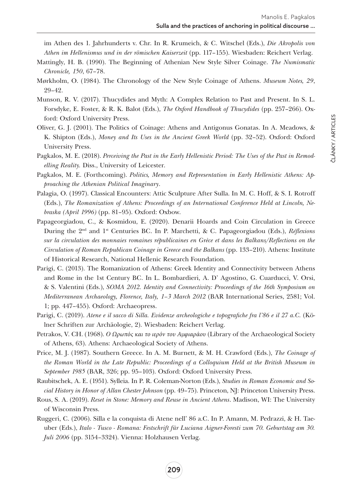im Athen des 1. Jahrhunderts v. Chr. In R. Krumeich, & C. Witschel (Eds.), *Die Akropolis von Athen im Hellenismus und in der römischen Kaiserzeit* (pp. 117–155). Wiesbaden: Reichert Verlag.

- Mattingly, H. B. (1990). The Beginning of Athenian New Style Silver Coinage. *The Numismatic Chronicle, 150*, 67–78.
- Mørkholm, O. (1984). The Chronology of the New Style Coinage of Athens. *Museum Notes, 29*, 29–42.
- Munson, R. V. (2017). Thucydides and Myth: A Complex Relation to Past and Present. In S. L. Forsdyke, E. Foster, & R. K. Balot (Eds.), *The Oxford Handbook of Thucydides* (pp. 257–266). Oxford: Oxford University Press.
- Oliver, G. J. (2001). The Politics of Coinage: Athens and Antigonus Gonatas. In A. Meadows, & K. Shipton (Eds.), *Money and Its Uses in the Ancient Greek World* (pp. 32–52). Oxford: Oxford University Press.
- Pagkalos, M. E. (2018). *Perceiving the Past in the Early Hellenistic Period: The Uses of the Past in Remodelling Reality.* Diss., University of Leicester.
- Pagkalos, M. E. (Forthcoming). *Politics, Memory and Representation in Early Hellenistic Athens: Approaching the Athenian Political Imaginary*.
- Palagia, O. (1997). Classical Encounters: Attic Sculpture After Sulla. In M. C. Hoff, & S. I. Rotroff (Eds.), *The Romanization of Athens: Proceedings of an International Conference Held at Lincoln, Nebraska (April 1996)* (pp. 81–95). Oxford: Oxbow.
- Papageorgiadou, C., & Kosmidou, E. (2020). Denarii Hoards and Coin Circulation in Greece During the 2nd and 1st Centuries BC. In P. Marchetti, & C. Papageorgiadou (Eds.), *Réflexions sur la circulation des monnaies romaines républicaines en Grèce et dans les Balkans/Reflections on the Circulation of Roman Republican Coinage in Greece and the Balkans* (pp. 133–210). Athens: Institute of Historical Research, National Hellenic Research Foundation.
- Parigi, C. (2013). The Romanization of Athens: Greek Identity and Connectivity between Athens and Rome in the 1st Century BC. In L. Bombardieri, A. D' Agostino, G. Cuarducci, V. Orsi, & S. Valentini (Eds.), *SOMA 2012. Identity and Connectivity: Proceedings of the 16th Symposium on Mediterranean Archaeology, Florence, Italy, 1–3 March 2012* (BAR International Series, 2581; Vol. 1; pp. 447–455). Oxford: Archaeopress.
- Parigi, C. (2019). *Atene e il sacco di Silla. Evidenze archeologiche e topografiche fra l'86 e il 27 a.C.* (Kölner Schriften zur Archäologie, 2). Wiesbaden: Reichert Verlag.
- Petrakos, V. CH. (1968). *O Ωρωπός και το ιερόν του Αμφιαράου* (Library of the Archaeological Society of Athens, 63). Athens: Archaeological Society of Athens.
- Price, M. J. (1987). Southern Greece. In A. M. Burnett, & M. H. Crawford (Eds.), *The Coinage of the Roman World in the Late Republic: Proceedings of a Colloquium Held at the British Museum in September 1985* (BAR, 326; pp. 95–103). Oxford: Oxford University Press.
- Raubitschek, A. E. (1951). Sylleia. In P. R. Coleman-Norton (Eds.), *Studies in Roman Economic and Social History in Honor of Allan Chester Johnson* (pp. 49–75). Princeton, NJ: Princeton University Press.
- Rous, S. A. (2019). *Reset in Stone: Memory and Reuse in Ancient Athens*. Madison, WI: The University of Wisconsin Press.
- Ruggeri, C. (2006). Silla e la conquista di Atene nell' 86 a.C. In P. Amann, M. Pedrazzi, & H. Taeuber (Eds.), *Italo - Tusco - Romana: Festschrift für Luciana Aigner-Foresti zum 70. Geburtstag am 30. Juli 2006* (pp. 3154–3324). Vienna: Holzhausen Verlag.